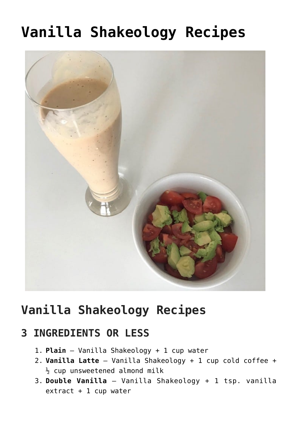# **[Vanilla Shakeology Recipes](https://alethiatruefit.com/recipes/shakeology/recipes-vanilla-shakeology/)**



## **Vanilla Shakeology Recipes**

#### **3 INGREDIENTS OR LESS**

- 1. **Plain** Vanilla Shakeology + 1 cup water
- 2. **Vanilla Latte** Vanilla Shakeology + 1 cup cold coffee +  $\frac{1}{2}$  cup unsweetened almond milk
- 3. **Double Vanilla** Vanilla Shakeology + 1 tsp. vanilla extract + 1 cup water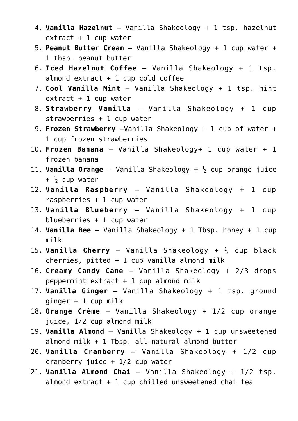- 4. **Vanilla Hazelnut** Vanilla Shakeology + 1 tsp. hazelnut  $extract + 1 cup water$
- 5. **Peanut Butter Cream** Vanilla Shakeology + 1 cup water + 1 tbsp. peanut butter
- 6. **Iced Hazelnut Coffee** Vanilla Shakeology + 1 tsp. almond  $extract + 1 cup cold coffee$
- 7. **Cool Vanilla Mint** Vanilla Shakeology + 1 tsp. mint  $extract + 1 cup water$
- 8. **Strawberry Vanilla** Vanilla Shakeology + 1 cup strawberries + 1 cup water
- 9. **Frozen Strawberry** –Vanilla Shakeology + 1 cup of water + 1 cup frozen strawberries
- 10. **Frozen Banana** Vanilla Shakeology+ 1 cup water + 1 frozen banana
- 11. **Vanilla Orange** Vanilla Shakeology + ½ cup orange juice  $+$   $\frac{1}{2}$  cup water
- 12. **Vanilla Raspberry** Vanilla Shakeology + 1 cup raspberries + 1 cup water
- 13. **Vanilla Blueberry** Vanilla Shakeology + 1 cup blueberries + 1 cup water
- 14. **Vanilla Bee** Vanilla Shakeology + 1 Tbsp. honey + 1 cup milk
- 15. **Vanilla Cherry** Vanilla Shakeology + ½ cup black cherries, pitted  $+ 1$  cup vanilla almond milk
- 16. **Creamy Candy Cane** Vanilla Shakeology + 2/3 drops peppermint extract  $+ 1$  cup almond milk
- 17. **Vanilla Ginger** Vanilla Shakeology + 1 tsp. ground ginger + 1 cup milk
- 18. **Orange Crème** Vanilla Shakeology + 1/2 cup orange juice, 1/2 cup almond milk
- 19. **Vanilla Almond** Vanilla Shakeology + 1 cup unsweetened almond milk + 1 Tbsp. all-natural almond butter
- 20. **Vanilla Cranberry** Vanilla Shakeology + 1/2 cup cranberry juice  $+1/2$  cup water
- 21. **Vanilla Almond Chai** Vanilla Shakeology + 1/2 tsp. almond  $ext{rat} + 1$  cup chilled unsweetened chai tea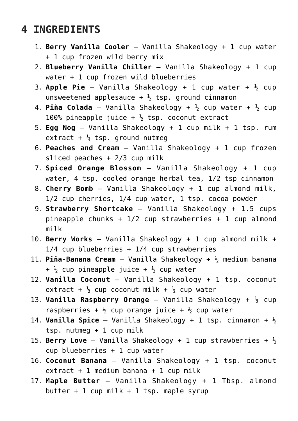### **4 INGREDIENTS**

- 1. **Berry Vanilla Cooler** Vanilla Shakeology + 1 cup water + 1 cup frozen wild berry mix
- 2. **Blueberry Vanilla Chiller** Vanilla Shakeology + 1 cup water + 1 cup frozen wild blueberries
- 3. **Apple Pie** Vanilla Shakeology + 1 cup water + ½ cup unsweetened applesauce  $+ \frac{1}{2}$  tsp. ground cinnamon
- 4. **Piña Colada** Vanilla Shakeology +  $\frac{1}{2}$  cup water +  $\frac{1}{2}$  cup 100% pineapple juice  $+ \frac{1}{2}$  tsp. coconut extract
- 5. **Egg Nog** Vanilla Shakeology + 1 cup milk + 1 tsp. rum extract +  $\frac{1}{4}$  tsp. ground nutmeg
- 6. **Peaches and Cream** Vanilla Shakeology + 1 cup frozen sliced peaches + 2/3 cup milk
- 7. **Spiced Orange Blossom** Vanilla Shakeology + 1 cup water, 4 tsp. cooled orange herbal tea, 1/2 tsp cinnamon
- 8. **Cherry Bomb** Vanilla Shakeology + 1 cup almond milk, 1/2 cup cherries, 1/4 cup water, 1 tsp. cocoa powder
- 9. **Strawberry Shortcake** Vanilla Shakeology + 1.5 cups pineapple chunks + 1/2 cup strawberries + 1 cup almond milk
- 10. **Berry Works** Vanilla Shakeology + 1 cup almond milk +  $1/4$  cup blueberries +  $1/4$  cup strawberries
- 11. **Piña-Banana Cream** Vanilla Shakeology + ½ medium banana  $+ \frac{1}{2}$  cup pineapple juice  $+ \frac{1}{2}$  cup water
- 12. **Vanilla Coconut** Vanilla Shakeology + 1 tsp. coconut extract +  $\frac{1}{2}$  cup coconut milk +  $\frac{1}{2}$  cup water
- 13. **Vanilla Raspberry Orange** Vanilla Shakeology + ½ cup raspberries +  $\frac{1}{2}$  cup orange juice +  $\frac{1}{2}$  cup water
- 14. **Vanilla Spice** Vanilla Shakeology + 1 tsp. cinnamon + ½ tsp. nutmeg + 1 cup milk
- 15. **Berry Love** Vanilla Shakeology + 1 cup strawberries +  $\frac{1}{2}$ cup blueberries + 1 cup water
- 16. **Coconut Banana** Vanilla Shakeology + 1 tsp. coconut  $extract + 1$  medium banana + 1 cup milk
- 17. **Maple Butter** Vanilla Shakeology + 1 Tbsp. almond butter + 1 cup milk + 1 tsp. maple syrup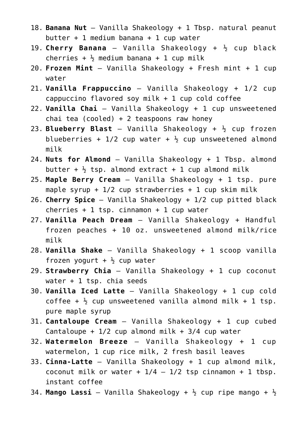- 18. **Banana Nut** Vanilla Shakeology + 1 Tbsp. natural peanut butter + 1 medium banana + 1 cup water
- 19. **Cherry Banana** Vanilla Shakeology + ½ cup black cherries +  $\frac{1}{2}$  medium banana + 1 cup milk
- 20. **Frozen Mint** Vanilla Shakeology + Fresh mint + 1 cup water
- 21. **Vanilla Frappuccino** Vanilla Shakeology + 1/2 cup cappuccino flavored soy milk  $+1$  cup cold coffee
- 22. **Vanilla Chai** Vanilla Shakeology + 1 cup unsweetened chai tea (cooled) + 2 teaspoons raw honey
- 23. **Blueberry Blast** Vanilla Shakeology + ½ cup frozen blueberries +  $1/2$  cup water +  $\frac{1}{2}$  cup unsweetened almond milk
- 24. **Nuts for Almond** Vanilla Shakeology + 1 Tbsp. almond butter +  $\frac{1}{2}$  tsp. almond extract + 1 cup almond milk
- 25. **Maple Berry Cream** Vanilla Shakeology + 1 tsp. pure maple syrup +  $1/2$  cup strawberries + 1 cup skim milk
- 26. **Cherry Spice** Vanilla Shakeology + 1/2 cup pitted black cherries  $+ 1$  tsp. cinnamon  $+ 1$  cup water
- 27. **Vanilla Peach Dream** Vanilla Shakeology + Handful frozen peaches + 10 oz. unsweetened almond milk/rice milk
- 28. **Vanilla Shake** Vanilla Shakeology + 1 scoop vanilla frozen yogurt  $+ \frac{1}{2}$  cup water
- 29. **Strawberry Chia** Vanilla Shakeology + 1 cup coconut water + 1 tsp. chia seeds
- 30. **Vanilla Iced Latte** Vanilla Shakeology + 1 cup cold coffee +  $\frac{1}{2}$  cup unsweetened vanilla almond milk + 1 tsp. pure maple syrup
- 31. **Cantaloupe Cream** Vanilla Shakeology + 1 cup cubed Cantaloupe +  $1/2$  cup almond milk +  $3/4$  cup water
- 32. **Watermelon Breeze** Vanilla Shakeology + 1 cup watermelon, 1 cup rice milk, 2 fresh basil leaves
- 33. **Cinna-Latte** Vanilla Shakeology + 1 cup almond milk, coconut milk or water +  $1/4$  -  $1/2$  tsp cinnamon + 1 tbsp. instant coffee
- 34. Mango Lassi Vanilla Shakeology +  $\frac{1}{2}$  cup ripe mango +  $\frac{1}{2}$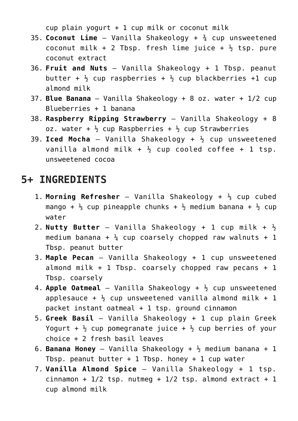$cup$  plain yogurt + 1 cup milk or coconut milk

- 35. **Coconut Lime** Vanilla Shakeology + ¾ cup unsweetened coconut milk + 2 Tbsp. fresh lime juice +  $\frac{1}{2}$  tsp. pure coconut extract
- 36. **Fruit and Nuts** Vanilla Shakeology + 1 Tbsp. peanut butter +  $\frac{1}{2}$  cup raspberries +  $\frac{1}{2}$  cup blackberries +1 cup almond milk
- 37. **Blue Banana** Vanilla Shakeology + 8 oz. water + 1/2 cup Blueberries + 1 banana
- 38. **Raspberry Ripping Strawberry** Vanilla Shakeology + 8 oz. water  $+ \frac{1}{2}$  cup Raspberries  $+ \frac{1}{2}$  cup Strawberries
- 39. **Iced Mocha** Vanilla Shakeology +  $\frac{1}{2}$  cup unsweetened vanilla almond milk +  $\frac{1}{2}$  cup cooled coffee + 1 tsp. unsweetened cocoa

#### **5+ INGREDIENTS**

- 1. **Morning Refresher** Vanilla Shakeology + ⅓ cup cubed mango +  $\frac{1}{3}$  cup pineapple chunks +  $\frac{1}{2}$  medium banana +  $\frac{1}{2}$  cup water
- 2. **Nutty Butter** Vanilla Shakeology + 1 cup milk + ½ medium banana +  $\frac{1}{4}$  cup coarsely chopped raw walnuts + 1 Tbsp. peanut butter
- 3. **Maple Pecan** Vanilla Shakeology + 1 cup unsweetened almond milk + 1 Tbsp. coarsely chopped raw pecans + 1 Tbsp. coarsely
- 4. **Apple Oatmeal** Vanilla Shakeology +  $\frac{1}{2}$  cup unsweetened applesauce +  $\frac{1}{2}$  cup unsweetened vanilla almond milk + 1 packet instant oatmeal + 1 tsp. ground cinnamon
- 5. **Greek Basil** Vanilla Shakeology + 1 cup plain Greek Yogurt +  $\frac{1}{2}$  cup pomegranate juice +  $\frac{1}{2}$  cup berries of your choice + 2 fresh basil leaves
- 6. **Banana Honey** Vanilla Shakeology + ½ medium banana + 1 Tbsp. peanut butter  $+ 1$  Tbsp. honey  $+ 1$  cup water
- 7. **Vanilla Almond Spice** Vanilla Shakeology + 1 tsp. cinnamon +  $1/2$  tsp. nutmeg +  $1/2$  tsp. almond extract + 1 cup almond milk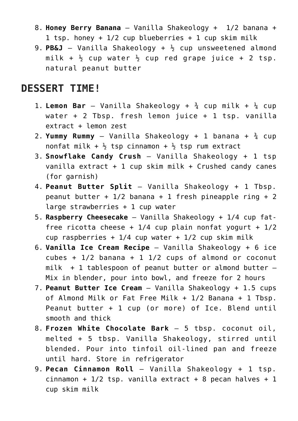- 8. **Honey Berry Banana** Vanilla Shakeology + 1/2 banana + 1 tsp. honey +  $1/2$  cup blueberries + 1 cup skim milk
- 9. **PB&J** Vanilla Shakeology + ½ cup unsweetened almond milk +  $\frac{1}{2}$  cup water  $\frac{1}{2}$  cup red grape juice + 2 tsp. natural peanut butter

#### **DESSERT TIME!**

- 1. **Lemon Bar** Vanilla Shakeology +  $\frac{3}{4}$  cup milk +  $\frac{1}{4}$  cup water + 2 Tbsp. fresh lemon juice + 1 tsp. vanilla extract + lemon zest
- 2. **Yummy Rummy** Vanilla Shakeology + 1 banana + ¾ cup nonfat milk +  $\frac{1}{2}$  tsp cinnamon +  $\frac{1}{2}$  tsp rum extract
- 3. **Snowflake Candy Crush** Vanilla Shakeology + 1 tsp vanilla extract + 1 cup skim milk + Crushed candy canes (for garnish)
- 4. **Peanut Butter Split** Vanilla Shakeology + 1 Tbsp. peanut butter +  $1/2$  banana + 1 fresh pineapple ring + 2 large strawberries + 1 cup water
- 5. **Raspberry Cheesecake** Vanilla Shakeology + 1/4 cup fatfree ricotta cheese +  $1/4$  cup plain nonfat yogurt +  $1/2$ cup raspberries +  $1/4$  cup water +  $1/2$  cup skim milk
- 6. **Vanilla Ice Cream Recipe** Vanilla Shakeology + 6 ice  $cubes + 1/2 banana + 1 1/2 cups of almond or coconut$  $milk$  + 1 tablespoon of peanut butter or almond butter  $-$ Mix in blender, pour into bowl, and freeze for 2 hours
- 7. **Peanut Butter Ice Cream** Vanilla Shakeology + 1.5 cups of Almond Milk or Fat Free Milk + 1/2 Banana + 1 Tbsp. Peanut butter + 1 cup (or more) of Ice. Blend until smooth and thick
- 8. **Frozen White Chocolate Bark** 5 tbsp. coconut oil, melted + 5 tbsp. Vanilla Shakeology, stirred until blended. Pour into tinfoil oil-lined pan and freeze until hard. Store in refrigerator
- 9. **Pecan Cinnamon Roll** Vanilla Shakeology + 1 tsp. cinnamon +  $1/2$  tsp. vanilla extract + 8 pecan halves + 1 cup skim milk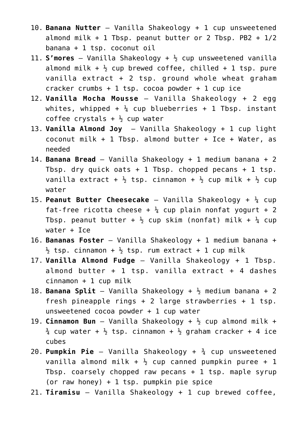- 10. **Banana Nutter** Vanilla Shakeology + 1 cup unsweetened almond milk  $+ 1$  Tbsp. peanut butter or 2 Tbsp. PB2  $+ 1/2$ banana + 1 tsp. coconut oil
- 11. **S'mores** Vanilla Shakeology + ½ cup unsweetened vanilla almond milk  $+$   $\frac{1}{2}$  cup brewed coffee, chilled  $+$  1 tsp. pure vanilla extract  $+ 2$  tsp. ground whole wheat graham cracker crumbs + 1 tsp. cocoa powder + 1 cup ice
- 12. **Vanilla Mocha Mousse** Vanilla Shakeology + 2 egg whites, whipped +  $\frac{1}{4}$  cup blueberries + 1 Tbsp. instant coffee crystals  $+ \frac{1}{2}$  cup water
- 13. **Vanilla Almond Joy** Vanilla Shakeology + 1 cup light coconut milk + 1 Tbsp. almond butter + Ice + Water, as needed
- 14. **Banana Bread** Vanilla Shakeology + 1 medium banana + 2 Tbsp. dry quick oats  $+ 1$  Tbsp. chopped pecans  $+ 1$  tsp. vanilla extract +  $\frac{1}{2}$  tsp. cinnamon +  $\frac{1}{2}$  cup milk +  $\frac{1}{2}$  cup water
- 15. **Peanut Butter Cheesecake** Vanilla Shakeology + ¼ cup fat-free ricotta cheese +  $\frac{1}{4}$  cup plain nonfat yogurt + 2 Tbsp. peanut butter +  $\frac{1}{2}$  cup skim (nonfat) milk +  $\frac{1}{4}$  cup water + Ice
- 16. **Bananas Foster** Vanilla Shakeology + 1 medium banana +  $\frac{1}{2}$  tsp. cinnamon +  $\frac{1}{2}$  tsp. rum extract + 1 cup milk
- 17. **Vanilla Almond Fudge** Vanilla Shakeology + 1 Tbsp. almond butter  $+$  1 tsp. vanilla extract  $+$  4 dashes cinnamon + 1 cup milk
- 18. **Banana Split** Vanilla Shakeology + ½ medium banana + 2 fresh pineapple rings + 2 large strawberries + 1 tsp. unsweetened cocoa powder + 1 cup water
- 19. **Cinnamon Bun** Vanilla Shakeology + ½ cup almond milk +  $\frac{3}{4}$  cup water +  $\frac{1}{2}$  tsp. cinnamon +  $\frac{1}{2}$  graham cracker + 4 ice cubes
- 20. **Pumpkin Pie** Vanilla Shakeology + ¾ cup unsweetened vanilla almond milk +  $\frac{1}{2}$  cup canned pumpkin puree + 1 Tbsp. coarsely chopped raw pecans + 1 tsp. maple syrup (or raw honey) + 1 tsp. pumpkin pie spice
- 21. **Tiramisu** Vanilla Shakeology + 1 cup brewed coffee,